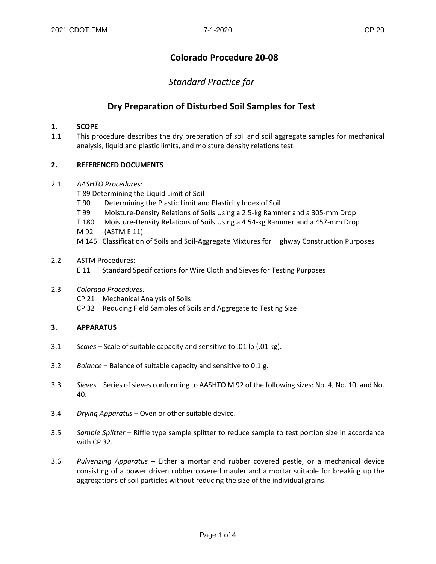# **Colorado Procedure 20-08**

*Standard Practice for*

# **Dry Preparation of Disturbed Soil Samples for Test**

## **1. SCOPE**

1.1 This procedure describes the dry preparation of soil and soil aggregate samples for mechanical analysis, liquid and plastic limits, and moisture density relations test.

### **2. REFERENCED DOCUMENTS**

- 2.1 *AASHTO Procedures:*
	- T 89 Determining the Liquid Limit of Soil
	- T 90 Determining the Plastic Limit and Plasticity Index of Soil
	- T 99 Moisture-Density Relations of Soils Using a 2.5-kg Rammer and a 305-mm Drop
	- T 180 Moisture-Density Relations of Soils Using a 4.54-kg Rammer and a 457-mm Drop
	- M 92 (ASTM E 11)
	- M 145 Classification of Soils and Soil-Aggregate Mixtures for Highway Construction Purposes
- 2.2 ASTM Procedures:
	- E 11 Standard Specifications for Wire Cloth and Sieves for Testing Purposes
- 2.3 *Colorado Procedures:*
	- CP 21 Mechanical Analysis of Soils
	- CP 32 Reducing Field Samples of Soils and Aggregate to Testing Size

## **3. APPARATUS**

- 3.1 *Scales –* Scale of suitable capacity and sensitive to .01 lb (.01 kg).
- 3.2 *Balance* Balance of suitable capacity and sensitive to 0.1 g.
- 3.3 *Sieves* Series of sieves conforming to AASHTO M 92 of the following sizes: No. 4, No. 10, and No. 40.
- 3.4 *Drying Apparatus* Oven or other suitable device.
- 3.5 *Sample Splitter* Riffle type sample splitter to reduce sample to test portion size in accordance with CP 32.
- 3.6 *Pulverizing Apparatus* Either a mortar and rubber covered pestle, or a mechanical device consisting of a power driven rubber covered mauler and a mortar suitable for breaking up the aggregations of soil particles without reducing the size of the individual grains.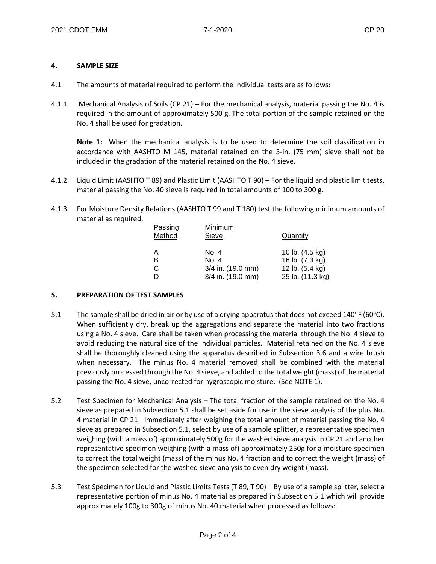#### **4. SAMPLE SIZE**

- 4.1 The amounts of material required to perform the individual tests are as follows:
- 4.1.1 Mechanical Analysis of Soils (CP 21) For the mechanical analysis, material passing the No. 4 is required in the amount of approximately 500 g. The total portion of the sample retained on the No. 4 shall be used for gradation.

**Note 1:** When the mechanical analysis is to be used to determine the soil classification in accordance with AASHTO M 145, material retained on the 3-in. (75 mm) sieve shall not be included in the gradation of the material retained on the No. 4 sieve.

- 4.1.2 Liquid Limit (AASHTO T 89) and Plastic Limit (AASHTO T 90) For the liquid and plastic limit tests, material passing the No. 40 sieve is required in total amounts of 100 to 300 g.
- 4.1.3 For Moisture Density Relations (AASHTO T 99 and T 180) test the following minimum amounts of material as required.

| Minimum<br>Sieve  | Quantity         |
|-------------------|------------------|
| No. 4             | 10 lb. (4.5 kg)  |
| No. 4             | 16 lb. (7.3 kg)  |
| 3/4 in. (19.0 mm) | 12 lb. (5.4 kg)  |
| 3/4 in. (19.0 mm) | 25 lb. (11.3 kg) |
|                   |                  |

#### **5. PREPARATION OF TEST SAMPLES**

- 5.1 The sample shall be dried in air or by use of a drying apparatus that does not exceed  $140^{\circ}$ F (60°C). When sufficiently dry, break up the aggregations and separate the material into two fractions using a No. 4 sieve. Care shall be taken when processing the material through the No. 4 sieve to avoid reducing the natural size of the individual particles. Material retained on the No. 4 sieve shall be thoroughly cleaned using the apparatus described in Subsection 3.6 and a wire brush when necessary. The minus No. 4 material removed shall be combined with the material previously processed through the No. 4 sieve, and added to the total weight (mass) of the material passing the No. 4 sieve, uncorrected for hygroscopic moisture. (See NOTE 1).
- 5.2 Test Specimen for Mechanical Analysis The total fraction of the sample retained on the No. 4 sieve as prepared in Subsection 5.1 shall be set aside for use in the sieve analysis of the plus No. 4 material in CP 21. Immediately after weighing the total amount of material passing the No. 4 sieve as prepared in Subsection 5.1, select by use of a sample splitter, a representative specimen weighing (with a mass of) approximately 500g for the washed sieve analysis in CP 21 and another representative specimen weighing (with a mass of) approximately 250g for a moisture specimen to correct the total weight (mass) of the minus No. 4 fraction and to correct the weight (mass) of the specimen selected for the washed sieve analysis to oven dry weight (mass).
- 5.3 Test Specimen for Liquid and Plastic Limits Tests (T 89, T 90) By use of a sample splitter, select a representative portion of minus No. 4 material as prepared in Subsection 5.1 which will provide approximately 100g to 300g of minus No. 40 material when processed as follows: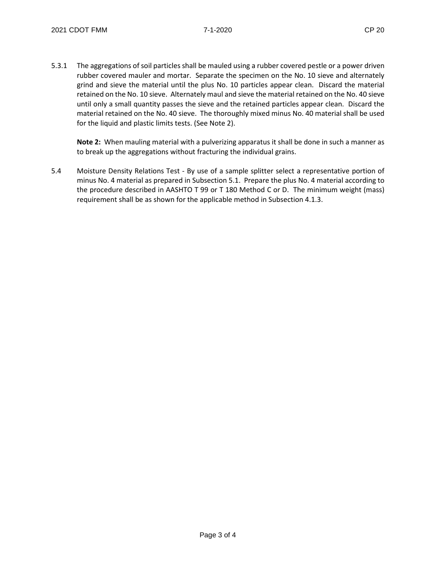5.3.1 The aggregations of soil particles shall be mauled using a rubber covered pestle or a power driven rubber covered mauler and mortar. Separate the specimen on the No. 10 sieve and alternately grind and sieve the material until the plus No. 10 particles appear clean. Discard the material retained on the No. 10 sieve. Alternately maul and sieve the material retained on the No. 40 sieve until only a small quantity passes the sieve and the retained particles appear clean. Discard the material retained on the No. 40 sieve. The thoroughly mixed minus No. 40 material shall be used for the liquid and plastic limits tests. (See Note 2).

**Note 2:** When mauling material with a pulverizing apparatus it shall be done in such a manner as to break up the aggregations without fracturing the individual grains.

5.4 Moisture Density Relations Test - By use of a sample splitter select a representative portion of minus No. 4 material as prepared in Subsection 5.1. Prepare the plus No. 4 material according to the procedure described in AASHTO T 99 or T 180 Method C or D. The minimum weight (mass) requirement shall be as shown for the applicable method in Subsection 4.1.3.